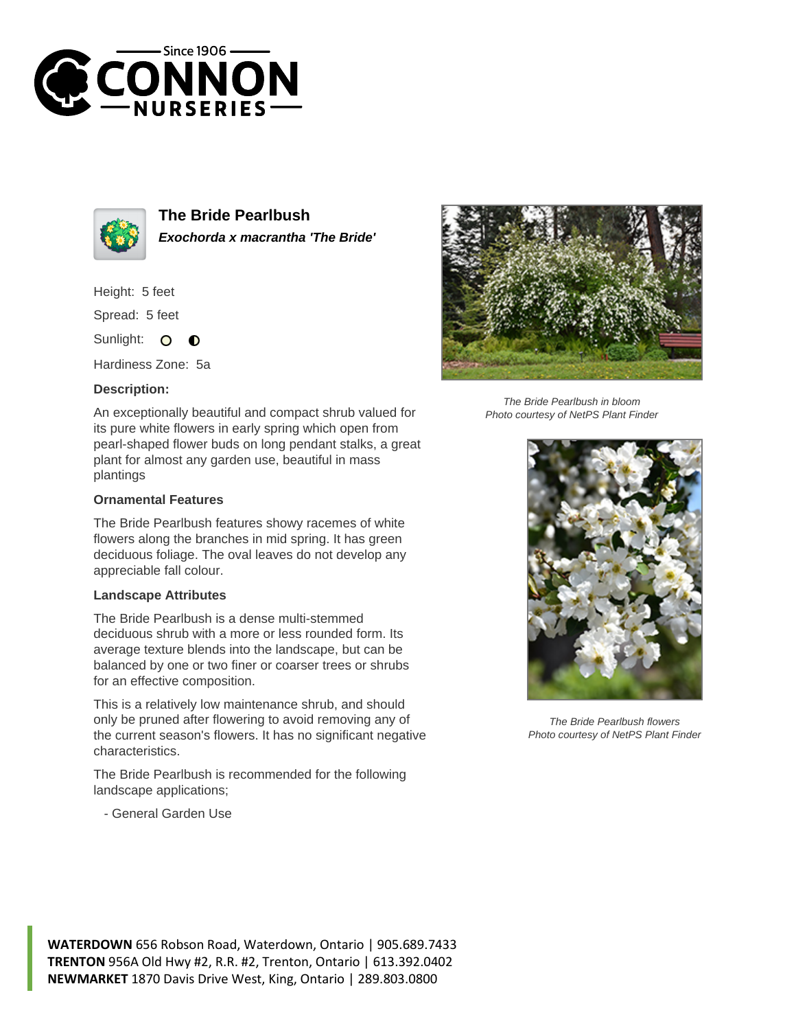



**The Bride Pearlbush Exochorda x macrantha 'The Bride'**

Height: 5 feet

Spread: 5 feet

Sunlight: 0  $\bullet$ 

Hardiness Zone: 5a

## **Description:**

An exceptionally beautiful and compact shrub valued for its pure white flowers in early spring which open from pearl-shaped flower buds on long pendant stalks, a great plant for almost any garden use, beautiful in mass plantings

## **Ornamental Features**

The Bride Pearlbush features showy racemes of white flowers along the branches in mid spring. It has green deciduous foliage. The oval leaves do not develop any appreciable fall colour.

## **Landscape Attributes**

The Bride Pearlbush is a dense multi-stemmed deciduous shrub with a more or less rounded form. Its average texture blends into the landscape, but can be balanced by one or two finer or coarser trees or shrubs for an effective composition.

This is a relatively low maintenance shrub, and should only be pruned after flowering to avoid removing any of the current season's flowers. It has no significant negative characteristics.

The Bride Pearlbush is recommended for the following landscape applications;

- General Garden Use



The Bride Pearlbush in bloom Photo courtesy of NetPS Plant Finder



The Bride Pearlbush flowers Photo courtesy of NetPS Plant Finder

**WATERDOWN** 656 Robson Road, Waterdown, Ontario | 905.689.7433 **TRENTON** 956A Old Hwy #2, R.R. #2, Trenton, Ontario | 613.392.0402 **NEWMARKET** 1870 Davis Drive West, King, Ontario | 289.803.0800